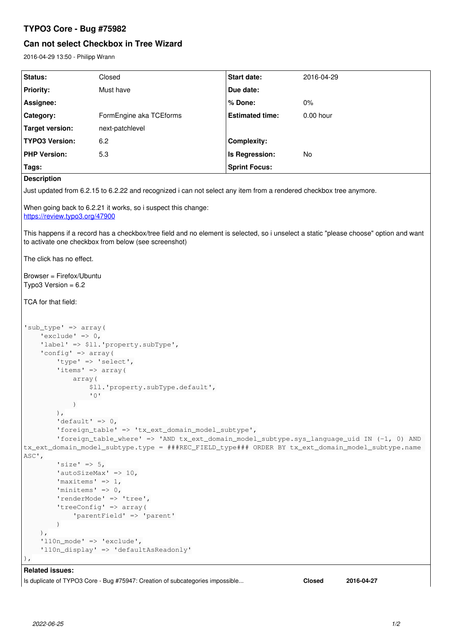## **TYPO3 Core - Bug #75982**

# **Can not select Checkbox in Tree Wizard**

2016-04-29 13:50 - Philipp Wrann

| Status:                                                                                                                                                                                                                                                                                                                                                                                                                                                                                                                                                                                                                                                                                                                                                                                                                                                                                  | Closed                  | <b>Start date:</b>     | 2016-04-29  |
|------------------------------------------------------------------------------------------------------------------------------------------------------------------------------------------------------------------------------------------------------------------------------------------------------------------------------------------------------------------------------------------------------------------------------------------------------------------------------------------------------------------------------------------------------------------------------------------------------------------------------------------------------------------------------------------------------------------------------------------------------------------------------------------------------------------------------------------------------------------------------------------|-------------------------|------------------------|-------------|
| <b>Priority:</b>                                                                                                                                                                                                                                                                                                                                                                                                                                                                                                                                                                                                                                                                                                                                                                                                                                                                         | Must have               | Due date:              |             |
| Assignee:                                                                                                                                                                                                                                                                                                                                                                                                                                                                                                                                                                                                                                                                                                                                                                                                                                                                                |                         | % Done:                | 0%          |
| Category:                                                                                                                                                                                                                                                                                                                                                                                                                                                                                                                                                                                                                                                                                                                                                                                                                                                                                | FormEngine aka TCEforms | <b>Estimated time:</b> | $0.00$ hour |
| <b>Target version:</b>                                                                                                                                                                                                                                                                                                                                                                                                                                                                                                                                                                                                                                                                                                                                                                                                                                                                   | next-patchlevel         |                        |             |
| <b>TYPO3 Version:</b>                                                                                                                                                                                                                                                                                                                                                                                                                                                                                                                                                                                                                                                                                                                                                                                                                                                                    | 6.2                     | <b>Complexity:</b>     |             |
| <b>PHP Version:</b>                                                                                                                                                                                                                                                                                                                                                                                                                                                                                                                                                                                                                                                                                                                                                                                                                                                                      | 5.3                     | Is Regression:         | <b>No</b>   |
| Tags:                                                                                                                                                                                                                                                                                                                                                                                                                                                                                                                                                                                                                                                                                                                                                                                                                                                                                    |                         | <b>Sprint Focus:</b>   |             |
| <b>Description</b>                                                                                                                                                                                                                                                                                                                                                                                                                                                                                                                                                                                                                                                                                                                                                                                                                                                                       |                         |                        |             |
| Just updated from 6.2.15 to 6.2.22 and recognized i can not select any item from a rendered checkbox tree anymore.                                                                                                                                                                                                                                                                                                                                                                                                                                                                                                                                                                                                                                                                                                                                                                       |                         |                        |             |
| When going back to 6.2.21 it works, so i suspect this change:<br>https://review.tvpo3.org/47900                                                                                                                                                                                                                                                                                                                                                                                                                                                                                                                                                                                                                                                                                                                                                                                          |                         |                        |             |
|                                                                                                                                                                                                                                                                                                                                                                                                                                                                                                                                                                                                                                                                                                                                                                                                                                                                                          |                         |                        |             |
| This happens if a record has a checkbox/tree field and no element is selected, so i unselect a static "please choose" option and want<br>to activate one checkbox from below (see screenshot)                                                                                                                                                                                                                                                                                                                                                                                                                                                                                                                                                                                                                                                                                            |                         |                        |             |
| The click has no effect.                                                                                                                                                                                                                                                                                                                                                                                                                                                                                                                                                                                                                                                                                                                                                                                                                                                                 |                         |                        |             |
| Browser = Firefox/Ubuntu<br>Typo3 Version = $6.2$                                                                                                                                                                                                                                                                                                                                                                                                                                                                                                                                                                                                                                                                                                                                                                                                                                        |                         |                        |             |
|                                                                                                                                                                                                                                                                                                                                                                                                                                                                                                                                                                                                                                                                                                                                                                                                                                                                                          |                         |                        |             |
| TCA for that field:                                                                                                                                                                                                                                                                                                                                                                                                                                                                                                                                                                                                                                                                                                                                                                                                                                                                      |                         |                        |             |
| $'sub_type'$ => $array($<br>'exclude' => $0,$<br>'label' => \$11.'property.subType',<br>'config' => $array($<br>'type' => 'select',<br>'items' => array(<br>array (<br>\$11. 'property.subType.default',<br>$\mathbf{1} \cap \mathbf{1}$<br>$\left( \begin{array}{c} 1 \end{array} \right)$<br>$\,$ ,<br>'default' => $0,$<br>'foreign_table' => 'tx_ext_domain_model_subtype',<br>'foreign_table_where' => 'AND tx_ext_domain_model_subtype.sys_language_uid IN (-1, 0) AND<br>tx_ext_domain_model_subtype.type = ###REC_FIELD_type### ORDER BY tx_ext_domain_model_subtype.name  <br>ASC,<br>$'size' \Rightarrow 5,$<br>'autoSizeMax' => $10$ ,<br>'maxitems' => $1$ ,<br>'minitems' $\Rightarrow$ 0,<br>'renderMode' => 'tree',<br>'treeConfig' => array(<br>'parentField' => 'parent'<br>$\lambda$<br>$\,$ ,<br>$'110n$ mode' => 'exclude',<br>'l10n_display' => 'defaultAsReadonly' |                         |                        |             |
| <b>Related issues:</b>                                                                                                                                                                                                                                                                                                                                                                                                                                                                                                                                                                                                                                                                                                                                                                                                                                                                   |                         |                        |             |

Is duplicate of TYPO3 Core - Bug #75947: Creation of subcategories impossible... **Closed 2016-04-27**